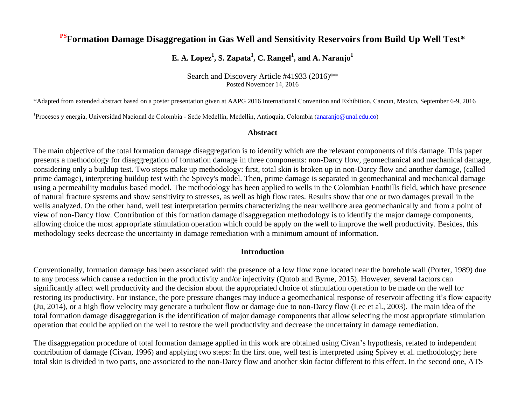# **PSFormation Damage Disaggregation in Gas Well and Sensitivity Reservoirs from Build Up Well Test\***

# **E.** A. Lopez<sup>1</sup>, S. Zapata<sup>1</sup>, C. Rangel<sup>1</sup>, and A. Naranjo<sup>1</sup>

Search and Discovery Article #41933 (2016)\*\* Posted November 14, 2016

\*Adapted from extended abstract based on a poster presentation given at AAPG 2016 International Convention and Exhibition, Cancun, Mexico, September 6-9, 2016

<sup>1</sup>Procesos y energía, Universidad Nacional de Colombia - Sede Medellín, Medellín, Antioquia, Colombia [\(anaranjo@unal.edu.co\)](mailto:anaranjo@unal.edu.co)

#### **Abstract**

The main objective of the total formation damage disaggregation is to identify which are the relevant components of this damage. This paper presents a methodology for disaggregation of formation damage in three components: non-Darcy flow, geomechanical and mechanical damage, considering only a buildup test. Two steps make up methodology: first, total skin is broken up in non-Darcy flow and another damage, (called prime damage), interpreting buildup test with the Spivey's model. Then, prime damage is separated in geomechanical and mechanical damage using a permeability modulus based model. The methodology has been applied to wells in the Colombian Foothills field, which have presence of natural fracture systems and show sensitivity to stresses, as well as high flow rates. Results show that one or two damages prevail in the wells analyzed. On the other hand, well test interpretation permits characterizing the near wellbore area geomechanically and from a point of view of non-Darcy flow. Contribution of this formation damage disaggregation methodology is to identify the major damage components, allowing choice the most appropriate stimulation operation which could be apply on the well to improve the well productivity. Besides, this methodology seeks decrease the uncertainty in damage remediation with a minimum amount of information.

### **Introduction**

Conventionally, formation damage has been associated with the presence of a low flow zone located near the borehole wall (Porter, 1989) due to any process which cause a reduction in the productivity and/or injectivity (Qutob and Byrne, 2015). However, several factors can significantly affect well productivity and the decision about the appropriated choice of stimulation operation to be made on the well for restoring its productivity. For instance, the pore pressure changes may induce a geomechanical response of reservoir affecting it's flow capacity (Ju, 2014), or a high flow velocity may generate a turbulent flow or damage due to non-Darcy flow (Lee et al., 2003). The main idea of the total formation damage disaggregation is the identification of major damage components that allow selecting the most appropriate stimulation operation that could be applied on the well to restore the well productivity and decrease the uncertainty in damage remediation.

The disaggregation procedure of total formation damage applied in this work are obtained using Civan's hypothesis, related to independent contribution of damage (Civan, 1996) and applying two steps: In the first one, well test is interpreted using Spivey et al. methodology; here total skin is divided in two parts, one associated to the non-Darcy flow and another skin factor different to this effect. In the second one, ATS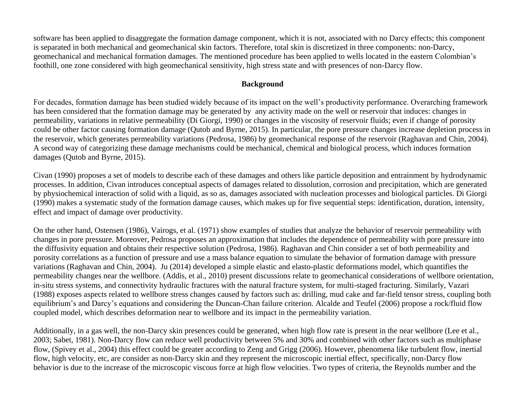software has been applied to disaggregate the formation damage component, which it is not, associated with no Darcy effects; this component is separated in both mechanical and geomechanical skin factors. Therefore, total skin is discretized in three components: non-Darcy, geomechanical and mechanical formation damages. The mentioned procedure has been applied to wells located in the eastern Colombian's foothill, one zone considered with high geomechanical sensitivity, high stress state and with presences of non-Darcy flow.

### **Background**

For decades, formation damage has been studied widely because of its impact on the well's productivity performance. Overarching framework has been considered that the formation damage may be generated by any activity made on the well or reservoir that induces: changes in permeability, variations in relative permeability (Di Giorgi, 1990) or changes in the viscosity of reservoir fluids; even if change of porosity could be other factor causing formation damage (Qutob and Byrne, 2015). In particular, the pore pressure changes increase depletion process in the reservoir, which generates permeability variations (Pedrosa, 1986) by geomechanical response of the reservoir (Raghavan and Chin, 2004). A second way of categorizing these damage mechanisms could be mechanical, chemical and biological process, which induces formation damages (Qutob and Byrne, 2015).

Civan (1990) proposes a set of models to describe each of these damages and others like particle deposition and entrainment by hydrodynamic processes. In addition, Civan introduces conceptual aspects of damages related to dissolution, corrosion and precipitation, which are generated by physiochemical interaction of solid with a liquid, as so as, damages associated with nucleation processes and biological particles. Di Giorgi (1990) makes a systematic study of the formation damage causes, which makes up for five sequential steps: identification, duration, intensity, effect and impact of damage over productivity.

On the other hand, Ostensen (1986), Vairogs, et al. (1971) show examples of studies that analyze the behavior of reservoir permeability with changes in pore pressure. Moreover, Pedrosa proposes an approximation that includes the dependence of permeability with pore pressure into the diffusivity equation and obtains their respective solution (Pedrosa, 1986). Raghavan and Chin consider a set of both permeability and porosity correlations as a function of pressure and use a mass balance equation to simulate the behavior of formation damage with pressure variations (Raghavan and Chin, 2004). Ju (2014) developed a simple elastic and elasto-plastic deformations model, which quantifies the permeability changes near the wellbore. (Addis, et al., 2010) present discussions relate to geomechanical considerations of wellbore orientation, in-situ stress systems, and connectivity hydraulic fractures with the natural fracture system, for multi-staged fracturing. Similarly, Vazari (1988) exposes aspects related to wellbore stress changes caused by factors such as: drilling, mud cake and far-field tensor stress, coupling both equilibrium's and Darcy's equations and considering the Duncan-Chan failure criterion. Alcalde and Teufel (2006) propose a rock/fluid flow coupled model, which describes deformation near to wellbore and its impact in the permeability variation.

Additionally, in a gas well, the non-Darcy skin presences could be generated, when high flow rate is present in the near wellbore (Lee et al., 2003; Sabet, 1981). Non-Darcy flow can reduce well productivity between 5% and 30% and combined with other factors such as multiphase flow, (Spivey et al., 2004) this effect could be greater according to Zeng and Grigg (2006). However, phenomena like turbulent flow, inertial flow, high velocity, etc, are consider as non-Darcy skin and they represent the microscopic inertial effect, specifically, non-Darcy flow behavior is due to the increase of the microscopic viscous force at high flow velocities. Two types of criteria, the Reynolds number and the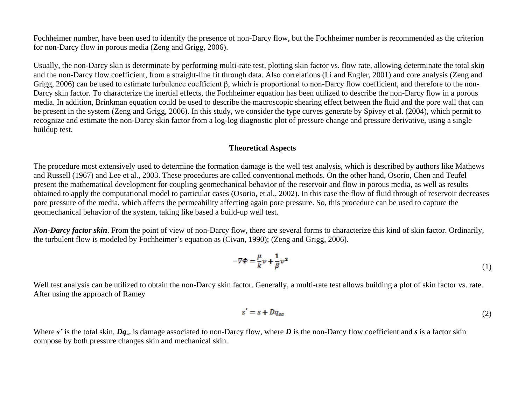Fochheimer number, have been used to identify the presence of non-Darcy flow, but the Fochheimer number is recommended as the criterion for non-Darcy flow in porous media (Zeng and Grigg, 2006).

Usually, the non-Darcy skin is determinate by performing multi-rate test, plotting skin factor vs. flow rate, allowing determinate the total skin and the non-Darcy flow coefficient, from a straight-line fit through data. Also correlations (Li and Engler, 2001) and core analysis (Zeng and Grigg, 2006) can be used to estimate turbulence coefficient β, which is proportional to non-Darcy flow coefficient, and therefore to the non-Darcy skin factor. To characterize the inertial effects, the Fochheimer equation has been utilized to describe the non-Darcy flow in a porous media. In addition, Brinkman equation could be used to describe the macroscopic shearing effect between the fluid and the pore wall that can be present in the system (Zeng and Grigg, 2006). In this study, we consider the type curves generate by Spivey et al. (2004), which permit to recognize and estimate the non-Darcy skin factor from a log-log diagnostic plot of pressure change and pressure derivative, using a single buildup test.

### **Theoretical Aspects**

The procedure most extensively used to determine the formation damage is the well test analysis, which is described by authors like Mathews and Russell (1967) and Lee et al., 2003. These procedures are called conventional methods. On the other hand, Osorio, Chen and Teufel present the mathematical development for coupling geomechanical behavior of the reservoir and flow in porous media, as well as results obtained to apply the computational model to particular cases (Osorio, et al., 2002). In this case the flow of fluid through of reservoir decreases pore pressure of the media, which affects the permeability affecting again pore pressure. So, this procedure can be used to capture the geomechanical behavior of the system, taking like based a build-up well test.

*Non-Darcy factor skin*. From the point of view of non-Darcy flow, there are several forms to characterize this kind of skin factor. Ordinarily, the turbulent flow is modeled by Fochheimer's equation as (Civan, 1990); (Zeng and Grigg, 2006).

$$
-\nabla \Phi = \frac{\mu}{k} v + \frac{1}{\beta} v^2 \tag{1}
$$

Well test analysis can be utilized to obtain the non-Darcy skin factor. Generally, a multi-rate test allows building a plot of skin factor vs. rate. After using the approach of Ramey

$$
s' = s + Dq_{sc} \tag{2}
$$

Where *s'* is the total skin, *Dqsc* is damage associated to non-Darcy flow, where *D* is the non-Darcy flow coefficient and *s* is a factor skin compose by both pressure changes skin and mechanical skin.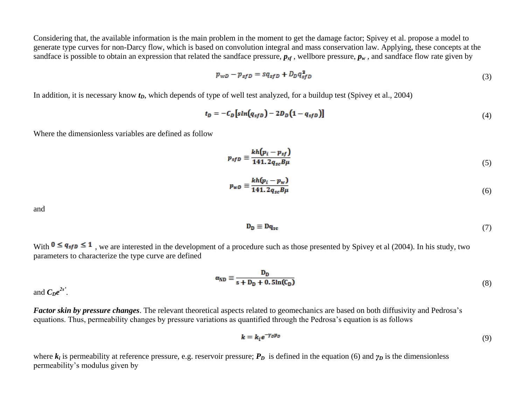Considering that, the available information is the main problem in the moment to get the damage factor; Spivey et al. propose a model to generate type curves for non-Darcy flow, which is based on convolution integral and mass conservation law. Applying, these concepts at the sandface is possible to obtain an expression that related the sandface pressure,  $p_{sf}$ , wellbore pressure,  $p_w$ , and sandface flow rate given by

$$
p_{wD} - p_{sfD} = sq_{sfD} + D_D q_{sfD}^2 \tag{3}
$$

In addition, it is necessary know  $t<sub>D</sub>$ , which depends of type of well test analyzed, for a buildup test (Spivey et al., 2004)

$$
t_D = -C_D \left[ \sin(q_{sfD}) - 2D_D \left( 1 - q_{sfD} \right) \right] \tag{4}
$$

Where the dimensionless variables are defined as follow

$$
p_{sfD} \equiv \frac{kh(p_i - p_{sf})}{141.2q_{sc}B\mu} \tag{5}
$$

$$
p_{wD} \equiv \frac{k h (p_i - p_w)}{141.2 q_{sc} B \mu} \tag{6}
$$

and

$$
\mathbf{D}_{\mathbf{D}} \equiv \mathbf{D}\mathbf{q}_{\rm sc} \tag{7}
$$

With  $0 \leq q_{sf}$   $\leq 1$ , we are interested in the development of a procedure such as those presented by Spivey et al (2004). In his study, two parameters to characterize the type curve are defined

$$
\alpha_{\rm ND} \equiv \frac{D_{\rm D}}{s + D_{\rm D} + 0.5 \ln(C_{\rm D})} \tag{8}
$$

and  $C_De^{2s}$ <sup>2s</sup>.

*Factor skin by pressure changes*. The relevant theoretical aspects related to geomechanics are based on both diffusivity and Pedrosa's equations. Thus, permeability changes by pressure variations as quantified through the Pedrosa's equation is as follows

$$
k = k_i e^{-\gamma_D p_D} \tag{9}
$$

where  $k_i$  is permeability at reference pressure, e.g. reservoir pressure;  $P_D$  is defined in the equation (6) and  $\gamma_D$  is the dimensionless permeability's modulus given by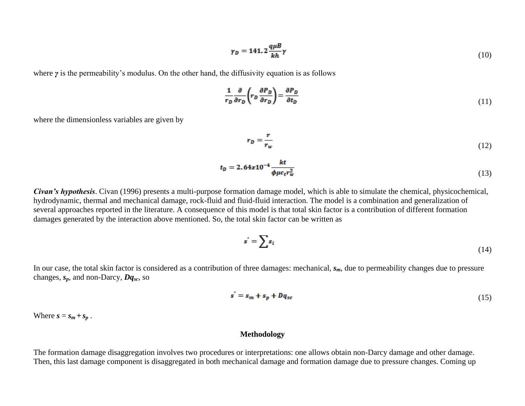$$
\gamma_D = 141.2 \frac{q \mu B}{k h} \gamma \tag{10}
$$

where *γ* is the permeability's modulus. On the other hand, the diffusivity equation is as follows

$$
\frac{1}{r_D} \frac{\partial}{\partial r_D} \left( r_D \frac{\partial P_D}{\partial r_D} \right) = \frac{\partial P_D}{\partial t_D} \tag{11}
$$

where the dimensionless variables are given by

$$
r_D = \frac{r}{r_w} \tag{12}
$$

$$
t_D = 2.64x10^{-4} \frac{kt}{\phi \mu c_t r_w^2}
$$
 (13)

*Civan's hypothesis*. Civan (1996) presents a multi-purpose formation damage model, which is able to simulate the chemical, physicochemical, hydrodynamic, thermal and mechanical damage, rock-fluid and fluid-fluid interaction. The model is a combination and generalization of several approaches reported in the literature. A consequence of this model is that total skin factor is a contribution of different formation damages generated by the interaction above mentioned. So, the total skin factor can be written as

$$
s' = \sum s_i \tag{14}
$$

In our case, the total skin factor is considered as a contribution of three damages: mechanical, *sm*, due to permeability changes due to pressure changes, *sp*, and non-Darcy, *Dqsc*, so

$$
s' = s_m + s_p + Dq_{sc} \tag{15}
$$

Where  $s = s_m + s_p$ .

### **Methodology**

The formation damage disaggregation involves two procedures or interpretations: one allows obtain non-Darcy damage and other damage. Then, this last damage component is disaggregated in both mechanical damage and formation damage due to pressure changes. Coming up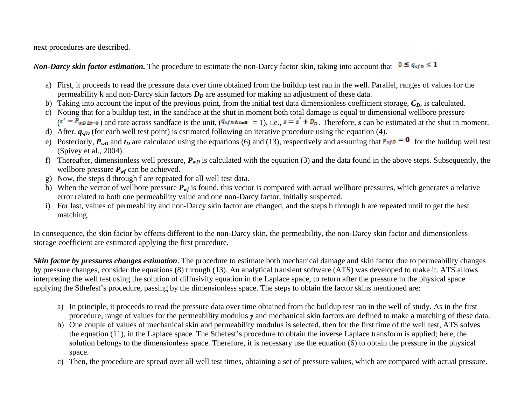next procedures are described.

*Non-Darcy skin factor estimation.* The procedure to estimate the non-Darcy factor skin, taking into account that  $0 \le q_{sfp} \le 1$ 

- a) First, it proceeds to read the pressure data over time obtained from the buildup test ran in the well. Parallel, ranges of values for the permeability k and non-Darcy skin factors  $D<sub>D</sub>$  are assumed for making an adjustment of these data.
- b) Taking into account the input of the previous point, from the initial test data dimensionless coefficient storage,  $C_D$ , is calculated.
- c) Noting that for a buildup test, in the sandface at the shut in moment both total damage is equal to dimensional wellbore pressure  $(s' = P_{wD\Delta t=0})$  and rate across sandface is the unit,  $(9s/D\Delta t=0 = 1)$ , i.e.,  $s = s' + D_D$ . Therefore, *s* can be estimated at the shut in moment.
- d) After,  $q_{sfp}$  (for each well test point) is estimated following an iterative procedure using the equation (4).
- e) Posteriorly,  $P_{wD}$  and  $t_D$  are calculated using the equations (6) and (13), respectively and assuming that  $p_{sfp} = 0$  for the buildup well test (Spivey et al., 2004).
- f) Thereafter, dimensionless well pressure,  $P_{wD}$  is calculated with the equation (3) and the data found in the above steps. Subsequently, the wellbore pressure  $P_{wf}$  can be achieved.
- g) Now, the steps d through f are repeated for all well test data.
- h) When the vector of wellbore pressure  $P_{wf}$  is found, this vector is compared with actual wellbore pressures, which generates a relative error related to both one permeability value and one non-Darcy factor, initially suspected.
- i) For last, values of permeability and non-Darcy skin factor are changed, and the steps b through h are repeated until to get the best matching.

In consequence, the skin factor by effects different to the non-Darcy skin, the permeability, the non-Darcy skin factor and dimensionless storage coefficient are estimated applying the first procedure.

*Skin factor by pressures changes estimation*. The procedure to estimate both mechanical damage and skin factor due to permeability changes by pressure changes, consider the equations (8) through (13). An analytical transient software (ATS) was developed to make it. ATS allows interpreting the well test using the solution of diffusivity equation in the Laplace space, to return after the pressure in the physical space applying the Sthefest's procedure, passing by the dimensionless space. The steps to obtain the factor skins mentioned are:

- a) In principle, it proceeds to read the pressure data over time obtained from the buildup test ran in the well of study. As in the first procedure, range of values for the permeability modulus *γ* and mechanical skin factors are defined to make a matching of these data.
- b) One couple of values of mechanical skin and permeability modulus is selected, then for the first time of the well test, ATS solves the equation (11), in the Laplace space. The Sthefest's procedure to obtain the inverse Laplace transform is applied; here, the solution belongs to the dimensionless space. Therefore, it is necessary use the equation (6) to obtain the pressure in the physical space.
- c) Then, the procedure are spread over all well test times, obtaining a set of pressure values, which are compared with actual pressure.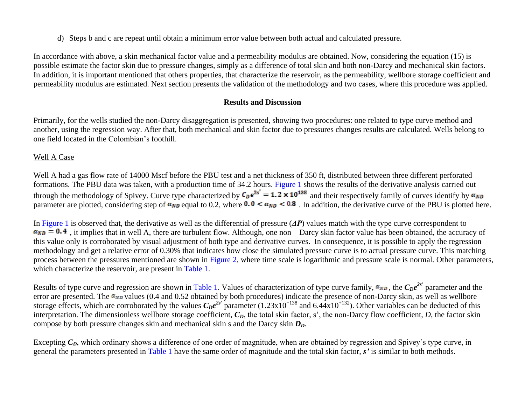d) Steps b and c are repeat until obtain a minimum error value between both actual and calculated pressure.

In accordance with above, a skin mechanical factor value and a permeability modulus are obtained. Now, considering the equation (15) is possible estimate the factor skin due to pressure changes, simply as a difference of total skin and both non-Darcy and mechanical skin factors. In addition, it is important mentioned that others properties, that characterize the reservoir, as the permeability, wellbore storage coefficient and permeability modulus are estimated. Next section presents the validation of the methodology and two cases, where this procedure was applied.

## **Results and Discussion**

Primarily, for the wells studied the non-Darcy disaggregation is presented, showing two procedures: one related to type curve method and another, using the regression way. After that, both mechanical and skin factor due to pressures changes results are calculated. Wells belong to one field located in the Colombian's foothill.

## Well A Case

Well A had a gas flow rate of 14000 Mscf before the PBU test and a net thickness of 350 ft, distributed between three different perforated formations. The PBU data was taken, with a production time of 34.2 hours. [Figure 1](#page-11-0) shows the results of the derivative analysis carried out through the methodology of Spivey. Curve type characterized by  $C_p e^{2s'} = 1.2 \times 10^{138}$  and their respectively family of curves identify by  $\alpha_{ND}$ parameter are plotted, considering step of  $\alpha_{ND}$  equal to 0.2, where  $0.0 < \alpha_{ND} < 0.8$ . In addition, the derivative curve of the PBU is plotted here.

In [Figure 1](#page-11-0) is observed that, the derivative as well as the differential of pressure (*ΔP*) values match with the type curve correspondent to  $a_{ND} = 0.4$ , it implies that in well A, there are turbulent flow. Although, one non – Darcy skin factor value has been obtained, the accuracy of this value only is corroborated by visual adjustment of both type and derivative curves. In consequence, it is possible to apply the regression methodology and get a relative error of 0.30% that indicates how close the simulated pressure curve is to actual pressure curve. This matching process between the pressures mentioned are shown in [Figure 2](#page-12-0), where time scale is logarithmic and pressure scale is normal. Other parameters, which characterize the reservoir, are present in [Table 1.](#page-15-0)

Results of type curve and regression are shown in [Table 1.](#page-15-0) Values of characterization of type curve family,  $\alpha_{ND}$ , the  $C_De^{2s'}$  parameter and the error are presented. The  $\alpha_{ND}$  values (0.4 and 0.52 obtained by both procedures) indicate the presence of non-Darcy skin, as well as wellbore storage effects, which are corroborated by the values  $C_D e^{2s'}$  parameter  $(1.23 \times 10^{+138})$  and  $6.44 \times 10^{+132})$ . Other variables can be deducted of this interpretation. The dimensionless wellbore storage coefficient,  $C<sub>D</sub>$ , the total skin factor, s', the non-Darcy flow coefficient, *D*, the factor skin compose by both pressure changes skin and mechanical skin s and the Darcy skin *DD*.

Excepting  $C_D$ , which ordinary shows a difference of one order of magnitude, when are obtained by regression and Spivey's type curve, in general the parameters presented in [Table 1](#page-15-0) have the same order of magnitude and the total skin factor, *s'* is similar to both methods.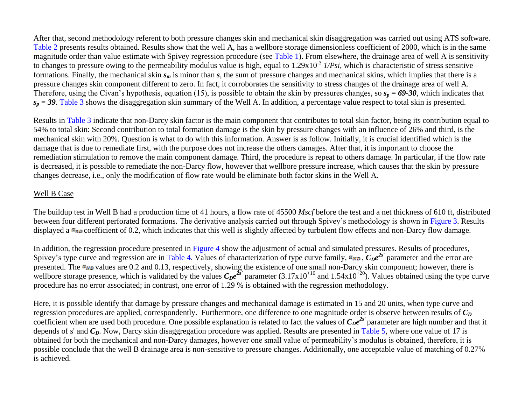After that, second methodology referent to both pressure changes skin and mechanical skin disaggregation was carried out using ATS software. [Table 2](#page-16-0) presents results obtained. Results show that the well A, has a wellbore storage dimensionless coefficient of 2000, which is in the same magnitude order than value estimate with Spivey regression procedure (see [Table 1\)](#page-15-0). From elsewhere, the drainage area of well A is sensitivity to changes to pressure owing to the permeability modulus value is high, equal to 1.29x10-3 *1/Psi*, which is characteristic of stress sensitive formations. Finally, the mechanical skin *s<sup>m</sup>* is minor than *s*, the sum of pressure changes and mechanical skins, which implies that there is a pressure changes skin component different to zero. In fact, it corroborates the sensitivity to stress changes of the drainage area of well A. Therefore, using the Civan's hypothesis, equation (15), is possible to obtain the skin by pressures changes, so  $s_p = 69-30$ , which indicates that  $s_p = 39$ . [Table 3](#page-17-0) shows the disaggregation skin summary of the Well A. In addition, a percentage value respect to total skin is presented.

Results in Table 3 indicate that non-Darcy skin factor is the main component that contributes to total skin factor, being its contribution equal to 54% to total skin: Second contribution to total formation damage is the skin by pressure changes with an influence of 26% and third, is the mechanical skin with 20%. Question is what to do with this information. Answer is as follow. Initially, it is crucial identified which is the damage that is due to remediate first, with the purpose does not increase the others damages. After that, it is important to choose the remediation stimulation to remove the main component damage. Third, the procedure is repeat to others damage. In particular, if the flow rate is decreased, it is possible to remediate the non-Darcy flow, however that wellbore pressure increase, which causes that the skin by pressure changes decrease, i.e., only the modification of flow rate would be eliminate both factor skins in the Well A.

### Well B Case

The buildup test in Well B had a production time of 41 hours, a flow rate of 45500 *Mscf* before the test and a net thickness of 610 ft, distributed between four different perforated formations. The derivative analysis carried out through Spivey's methodology is shown in [Figure 3.](#page-13-0) Results displayed a  $\alpha_{n}$  coefficient of 0.2, which indicates that this well is slightly affected by turbulent flow effects and non-Darcy flow damage.

In addition, the regression procedure presented in [Figure 4](#page-14-0) show the adjustment of actual and simulated pressures. Results of procedures, Spivey's type curve and regression are in [Table 4.](#page-18-0) Values of characterization of type curve family,  $\alpha_{ND}$ ,  $C_D e^{2s'}$  parameter and the error are presented. The  $\alpha_{ND}$  values are 0.2 and 0.13, respectively, showing the existence of one small non-Darcy skin component; however, there is wellbore storage presence, which is validated by the values  $C_D e^{2s'}$  parameter  $(3.17 \times 10^{+16}$  and  $1.54 \times 10^{+20})$ . Values obtained using the type curve procedure has no error associated; in contrast, one error of 1.29 % is obtained with the regression methodology.

Here, it is possible identify that damage by pressure changes and mechanical damage is estimated in 15 and 20 units, when type curve and regression procedures are applied, correspondently. Furthermore, one difference to one magnitude order is observe between results of *C<sup>D</sup>* coefficient when are used both procedure. One possible explanation is related to fact the values of  $C_D e^{2s'}$  parameter are high number and that it depends of s' and  $C_p$ . Now, Darcy skin disaggregation procedure was applied. Results are presented in [Table 5,](#page-19-0) where one value of 17 is obtained for both the mechanical and non-Darcy damages, however one small value of permeability's modulus is obtained, therefore, it is possible conclude that the well B drainage area is non-sensitive to pressure changes. Additionally, one acceptable value of matching of 0.27% is achieved.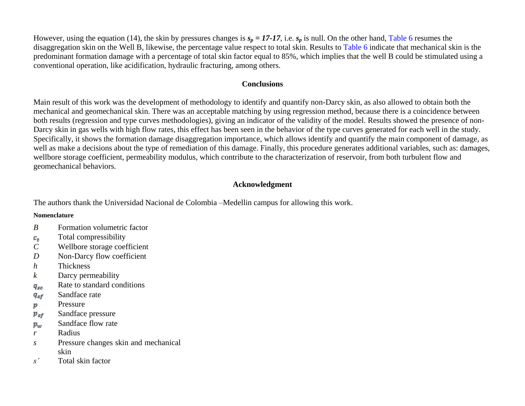However, using the equation (14), the skin by pressures changes is  $s_p = 17-17$ , i.e.  $s_p$  is null. On the other hand, [Table 6](#page-20-0) resumes the disaggregation skin on the Well B, likewise, the percentage value respect to total skin. Results to [Table 6](#page-20-0) indicate that mechanical skin is the predominant formation damage with a percentage of total skin factor equal to 85%, which implies that the well B could be stimulated using a conventional operation, like acidification, hydraulic fracturing, among others.

## **Conclusions**

Main result of this work was the development of methodology to identify and quantify non-Darcy skin, as also allowed to obtain both the mechanical and geomechanical skin. There was an acceptable matching by using regression method, because there is a coincidence between both results (regression and type curves methodologies), giving an indicator of the validity of the model. Results showed the presence of non-Darcy skin in gas wells with high flow rates, this effect has been seen in the behavior of the type curves generated for each well in the study. Specifically, it shows the formation damage disaggregation importance, which allows identify and quantify the main component of damage, as well as make a decisions about the type of remediation of this damage. Finally, this procedure generates additional variables, such as: damages, wellbore storage coefficient, permeability modulus, which contribute to the characterization of reservoir, from both turbulent flow and geomechanical behaviors.

## **Acknowledgment**

The authors thank the Universidad Nacional de Colombia –Medellin campus for allowing this work.

### **Nomenclature**

- *B* Formation volumetric factor
- Total compressibility  $c_t$
- *C* Wellbore storage coefficient
- *D* Non-Darcy flow coefficient
- *h* Thickness
- *k* Darcy permeability
- Rate to standard conditions  $q_{sc}$
- Sandface rate  $q_{sf}$
- Pressure p
- Sandface pressure  $p_{sf}$
- Sandface flow rate  $p_w$
- *r* Radius
- *s* Pressure changes skin and mechanical skin
- *s'* Total skin factor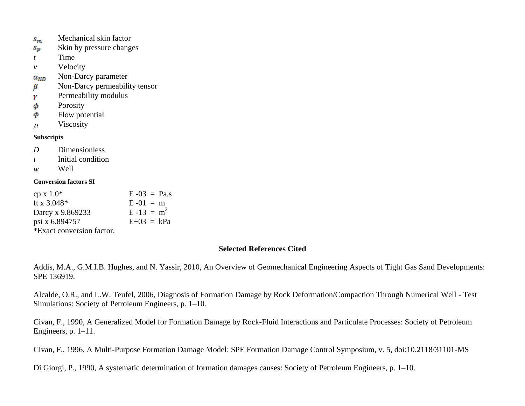- Mechanical skin factor  $S_{m}$
- Skin by pressure changes  $s_{\bm p}$
- *t* Time
- *v* Velocity
- Non-Darcy parameter  $\alpha_{ND}$
- Non-Darcy permeability tensor β
- Permeability modulus γ
- Porosity φ
- Flow potential Ф
- $\mu$  Viscosity

## **Subscripts**

- *D* Dimensionless
- *i* Initial condition
- *w* Well

### **Conversion factors SI**

| cp x 1.0*                 | $E - 03 = Pa.s$ |
|---------------------------|-----------------|
| ft x 3.048*               | $E - 01 = m$    |
| Darcy x 9.869233          | $E-13 = m^2$    |
| psi x 6.894757            | $E+03 = kPa$    |
| *Exact conversion factor. |                 |

## **Selected References Cited**

Addis, M.A., G.M.I.B. Hughes, and N. Yassir, 2010, An Overview of Geomechanical Engineering Aspects of Tight Gas Sand Developments: SPE 136919.

Alcalde, O.R., and L.W. Teufel, 2006, Diagnosis of Formation Damage by Rock Deformation/Compaction Through Numerical Well - Test Simulations: Society of Petroleum Engineers, p. 1–10.

Civan, F., 1990, A Generalized Model for Formation Damage by Rock-Fluid Interactions and Particulate Processes: Society of Petroleum Engineers, p. 1–11.

Civan, F., 1996, A Multi-Purpose Formation Damage Model: SPE Formation Damage Control Symposium, v. 5, doi:10.2118/31101-MS

Di Giorgi, P., 1990, A systematic determination of formation damages causes: Society of Petroleum Engineers, p. 1–10.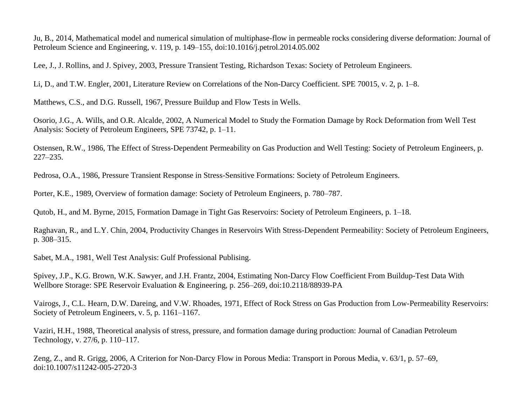Ju, B., 2014, Mathematical model and numerical simulation of multiphase-flow in permeable rocks considering diverse deformation: Journal of Petroleum Science and Engineering, v. 119, p. 149–155, doi:10.1016/j.petrol.2014.05.002

Lee, J., J. Rollins, and J. Spivey, 2003, Pressure Transient Testing, Richardson Texas: Society of Petroleum Engineers.

Li, D., and T.W. Engler, 2001, Literature Review on Correlations of the Non-Darcy Coefficient. SPE 70015, v. 2, p. 1–8.

Matthews, C.S., and D.G. Russell, 1967, Pressure Buildup and Flow Tests in Wells.

Osorio, J.G., A. Wills, and O.R. Alcalde, 2002, A Numerical Model to Study the Formation Damage by Rock Deformation from Well Test Analysis: Society of Petroleum Engineers, SPE 73742, p. 1–11.

Ostensen, R.W., 1986, The Effect of Stress-Dependent Permeability on Gas Production and Well Testing: Society of Petroleum Engineers, p. 227–235.

Pedrosa, O.A., 1986, Pressure Transient Response in Stress-Sensitive Formations: Society of Petroleum Engineers.

Porter, K.E., 1989, Overview of formation damage: Society of Petroleum Engineers, p. 780–787.

Qutob, H., and M. Byrne, 2015, Formation Damage in Tight Gas Reservoirs: Society of Petroleum Engineers, p. 1–18.

Raghavan, R., and L.Y. Chin, 2004, Productivity Changes in Reservoirs With Stress-Dependent Permeability: Society of Petroleum Engineers, p. 308–315.

Sabet, M.A., 1981, Well Test Analysis: Gulf Professional Publising.

Spivey, J.P., K.G. Brown, W.K. Sawyer, and J.H. Frantz, 2004, Estimating Non-Darcy Flow Coefficient From Buildup-Test Data With Wellbore Storage: SPE Reservoir Evaluation & Engineering, p. 256–269, doi:10.2118/88939-PA

Vairogs, J., C.L. Hearn, D.W. Dareing, and V.W. Rhoades, 1971, Effect of Rock Stress on Gas Production from Low-Permeability Reservoirs: Society of Petroleum Engineers, v. 5, p. 1161–1167.

Vaziri, H.H., 1988, Theoretical analysis of stress, pressure, and formation damage during production: Journal of Canadian Petroleum Technology, v. 27/6, p. 110–117.

Zeng, Z., and R. Grigg, 2006, A Criterion for Non-Darcy Flow in Porous Media: Transport in Porous Media, v. 63/1, p. 57–69, doi:10.1007/s11242-005-2720-3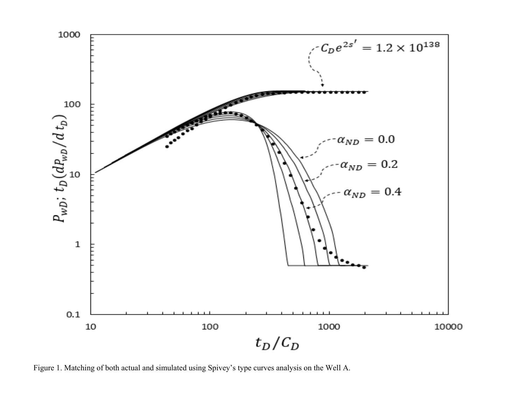<span id="page-11-0"></span>

Figure 1. Matching of both actual and simulated using Spivey's type curves analysis on the Well A.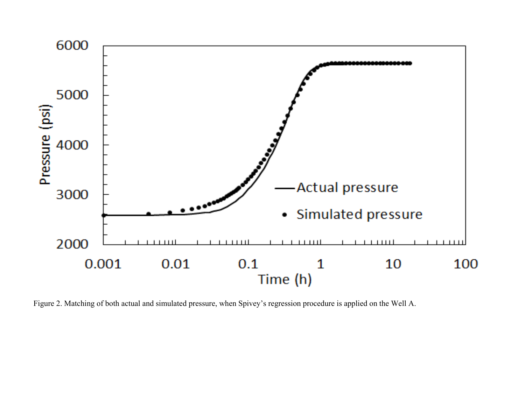<span id="page-12-0"></span>

Figure 2. Matching of both actual and simulated pressure, when Spivey's regression procedure is applied on the Well A.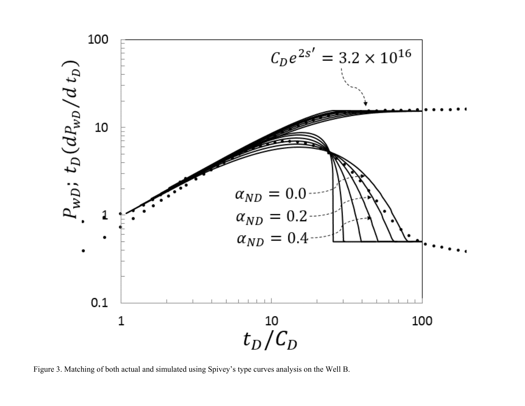<span id="page-13-0"></span>

Figure 3. Matching of both actual and simulated using Spivey's type curves analysis on the Well B.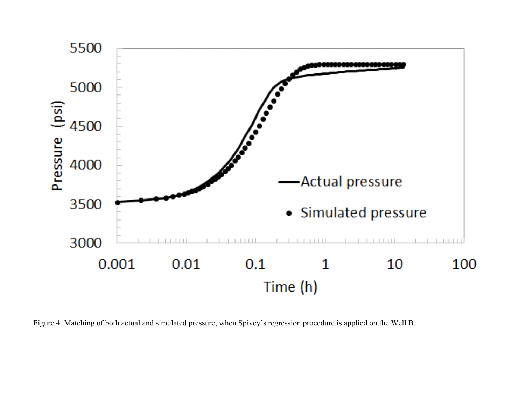<span id="page-14-0"></span>

Figure 4. Matching of both actual and simulated pressure, when Spivey's regression procedure is applied on the Well B.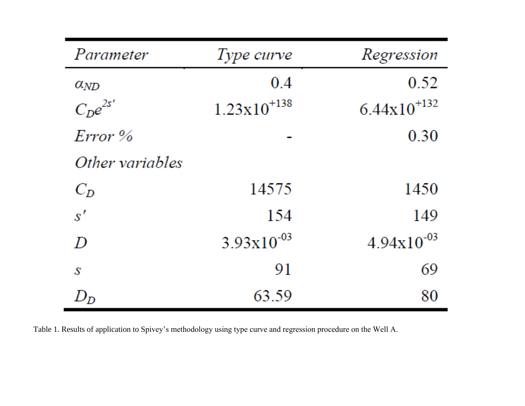<span id="page-15-0"></span>

| Parameter       | Type curve              | Regression              |
|-----------------|-------------------------|-------------------------|
| $\alpha_{ND}$   | 0.4                     | 0.52                    |
| $C_D e^{2s'}$   | $1.23 \times 10^{+138}$ | $6.44 \times 10^{+132}$ |
| $Error\%$       |                         | 0.30                    |
| Other variables |                         |                         |
| $C_D$           | 14575                   | 1450                    |
| s'              | 154                     | 149                     |
| D               | $3.93x10^{-03}$         | $4.94x10^{-03}$         |
| S               | 91                      | 69                      |
|                 | 63.59                   | 80                      |

Table 1. Results of application to Spivey's methodology using type curve and regression procedure on the Well A.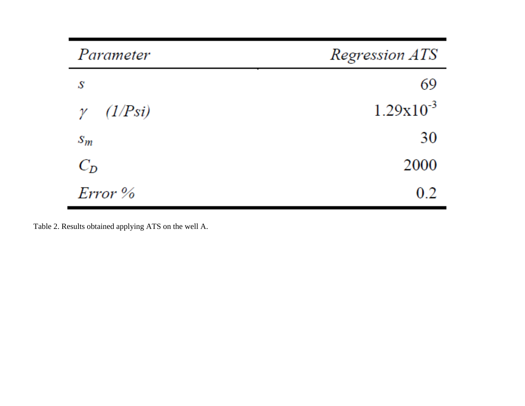<span id="page-16-0"></span>

| Parameter           | Regression ATS |
|---------------------|----------------|
| S                   | 69             |
| (1/Psi)<br>$\gamma$ | $1.29x10^{-3}$ |
| $S_m$               | 30             |
| $C_D$               | 2000           |
| Error %             | 0.2            |

Table 2. Results obtained applying ATS on the well A.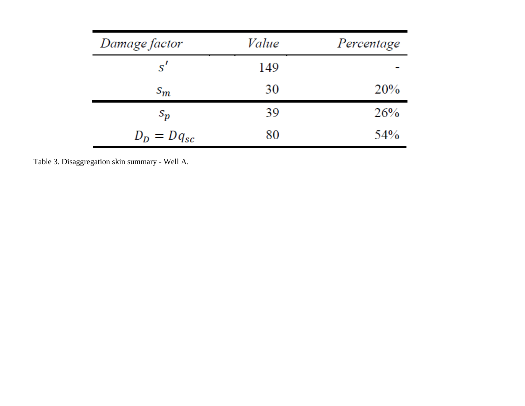<span id="page-17-0"></span>

| Damage factor   | Value | Percentage |
|-----------------|-------|------------|
| s'              | 149   |            |
| $s_m$           | 30    | 20%        |
| $S_{p}$         | 39    | 26%        |
| $D_D = Dq_{sc}$ | 80    | 54%        |

Table 3. Disaggregation skin summary - Well A.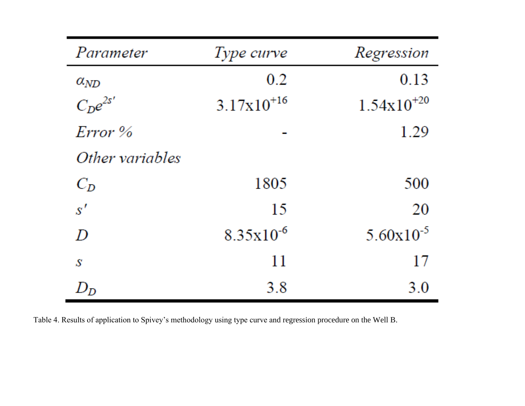<span id="page-18-0"></span>

| Parameter       | Type curve      | Regression             |
|-----------------|-----------------|------------------------|
| $\alpha_{ND}$   | 0.2             | 0.13                   |
| $C_De^{2s'}$    | $3.17x10^{+16}$ | $1.54 \times 10^{+20}$ |
| $Error\%$       |                 | 1.29                   |
| Other variables |                 |                        |
| $C_D$           | 1805            | 500                    |
| s'              | 15              | 20                     |
| D               | $8.35x10^{-6}$  | $5.60 \times 10^{-5}$  |
| S               | 11              | 17                     |
| $\,D_{D}$       | 3.8             | 3.0                    |

Table 4. Results of application to Spivey's methodology using type curve and regression procedure on the Well B.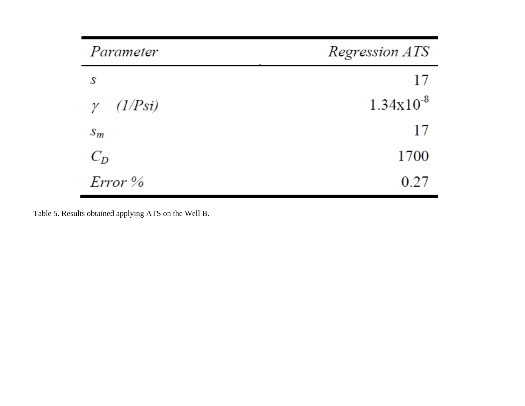<span id="page-19-0"></span>

| Parameter        | Regression ATS |
|------------------|----------------|
| S                | 17             |
| $\gamma$ (1/Psi) | $1.34x10^{-8}$ |
| $S_m$            | 17             |
| $C_D$            | 1700           |
| $Error\%$        | 0.27           |

Table 5. Results obtained applying ATS on the Well B.